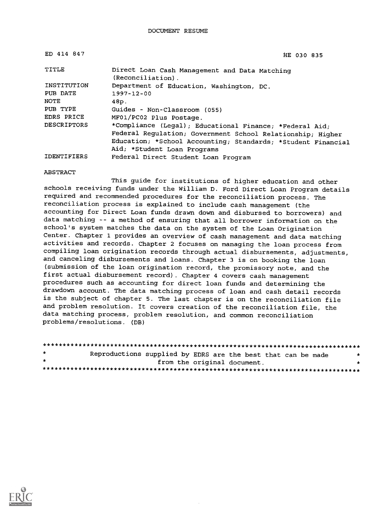| ED 414 847         | HE 030 835                                                         |
|--------------------|--------------------------------------------------------------------|
| TITLE              | Direct Loan Cash Management and Data Matching<br>(Reconciliation). |
| INSTITUTION        | Department of Education, Washington, DC.                           |
| PUB DATE           | $1997 - 12 - 00$                                                   |
| <b>NOTE</b>        | 48p.                                                               |
| PUB TYPE           | Guides - Non-Classroom (055)                                       |
| EDRS PRICE         | MF01/PC02 Plus Postage.                                            |
| <b>DESCRIPTORS</b> | *Compliance (Legal); Educational Finance; *Federal Aid;            |
|                    | Federal Regulation; Government School Relationship; Higher         |
|                    | Education; *School Accounting; Standards; *Student Financial       |
|                    | Aid; *Student Loan Programs                                        |
| <b>IDENTIFIERS</b> | Federal Direct Student Loan Program                                |

ABSTRACT

This guide for institutions of higher education and other schools receiving funds under the William D. Ford Direct Loan Program details required and recommended procedures for the reconciliation process. The reconciliation process is explained to include cash management (the accounting for Direct Loan funds drawn down and disbursed to borrowers) and data matching -- a method of ensuring that all borrower information on the school's system matches the data on the system of the Loan Origination Center. Chapter 1 provides an overview of cash management and data matching activities and records. Chapter 2 focuses on managing the loan process from compiling loan origination records through actual disbursements, adjustments, and canceling disbursements and loans. Chapter 3 is on booking the loan (submission of the loan origination record, the promissory note, and the first actual disbursement record). Chapter 4 covers cash management procedures such as accounting for direct loan funds and determining the drawdown account. The data matching process of loan and cash detail records is the subject of chapter 5. The last chapter is on the reconciliation file and problem resolution. It covers creation of the reconciliation file, the data matching process, problem resolution, and common reconciliation problems/resolutions. (DB)

| $\star$ | Reproductions supplied by EDRS are the best that can be made | $\star$ |  |
|---------|--------------------------------------------------------------|---------|--|
| $\star$ | from the original document.                                  |         |  |
|         |                                                              |         |  |

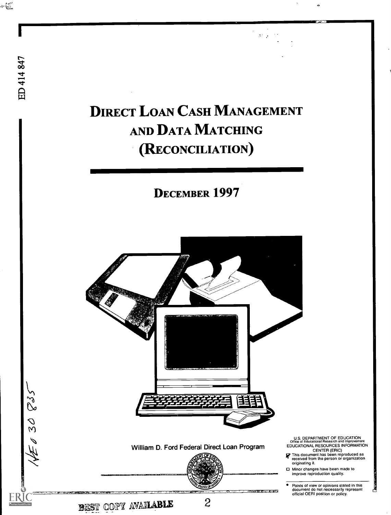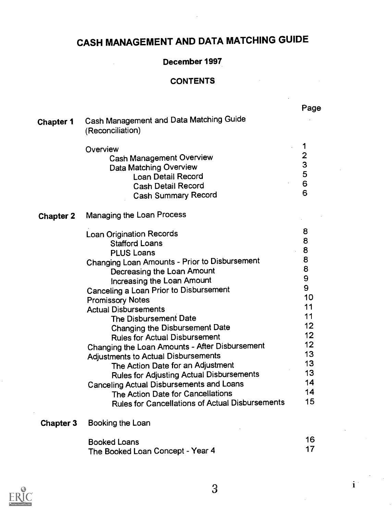# CASH MANAGEMENT AND DATA MATCHING GUIDE

### December 1997

 $\sim 10^{-1}$ 

### CONTENTS

 $\sim 10$ 

|                  |                                                                                                                                                                                                                                                                                                                                                                                                                                                                                                                                                                                                                                                                                                                                      | Page                                                                                                                              |
|------------------|--------------------------------------------------------------------------------------------------------------------------------------------------------------------------------------------------------------------------------------------------------------------------------------------------------------------------------------------------------------------------------------------------------------------------------------------------------------------------------------------------------------------------------------------------------------------------------------------------------------------------------------------------------------------------------------------------------------------------------------|-----------------------------------------------------------------------------------------------------------------------------------|
| <b>Chapter 1</b> | Cash Management and Data Matching Guide<br>(Reconciliation)                                                                                                                                                                                                                                                                                                                                                                                                                                                                                                                                                                                                                                                                          |                                                                                                                                   |
|                  | Overview<br><b>Cash Management Overview</b><br>Data Matching Overview<br><b>Loan Detail Record</b><br><b>Cash Detail Record</b><br><b>Cash Summary Record</b>                                                                                                                                                                                                                                                                                                                                                                                                                                                                                                                                                                        | 1<br>$\mathbf{2}$<br>3<br>5<br>6<br>6                                                                                             |
| <b>Chapter 2</b> | Managing the Loan Process                                                                                                                                                                                                                                                                                                                                                                                                                                                                                                                                                                                                                                                                                                            |                                                                                                                                   |
|                  | <b>Loan Origination Records</b><br><b>Stafford Loans</b><br><b>PLUS Loans</b><br>Changing Loan Amounts - Prior to Disbursement<br>Decreasing the Loan Amount<br>Increasing the Loan Amount<br>Canceling a Loan Prior to Disbursement<br><b>Promissory Notes</b><br><b>Actual Disbursements</b><br>The Disbursement Date<br>Changing the Disbursement Date<br><b>Rules for Actual Disbursement</b><br>Changing the Loan Amounts - After Disbursement<br>Adjustments to Actual Disbursements<br>The Action Date for an Adjustment<br><b>Rules for Adjusting Actual Disbursements</b><br><b>Canceling Actual Disbursements and Loans</b><br>The Action Date for Cancellations<br><b>Rules for Cancellations of Actual Disbursements</b> | 8<br>8<br>8<br>8<br>8<br>$\mathbf{9}$<br>9<br>10<br>11<br>11<br>12<br>12<br>$12 \overline{ }$<br>13<br>13<br>13<br>14<br>14<br>15 |
| <b>Chapter 3</b> | Booking the Loan                                                                                                                                                                                                                                                                                                                                                                                                                                                                                                                                                                                                                                                                                                                     |                                                                                                                                   |
|                  | <b>Booked Loans</b><br>The Booked Loan Concept - Year 4                                                                                                                                                                                                                                                                                                                                                                                                                                                                                                                                                                                                                                                                              | 16<br>17                                                                                                                          |



 $\mathbf{i}^{\perp}$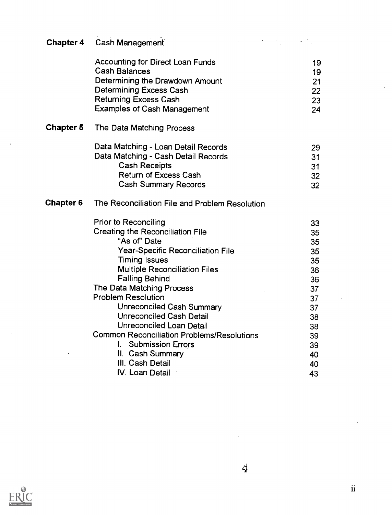|                  | <b>Chapter 4 Cash Management</b>                  |    |
|------------------|---------------------------------------------------|----|
|                  | <b>Accounting for Direct Loan Funds</b>           | 19 |
|                  | <b>Cash Balances</b>                              | 19 |
|                  | Determining the Drawdown Amount                   | 21 |
|                  | <b>Determining Excess Cash</b>                    | 22 |
|                  | <b>Returning Excess Cash</b>                      | 23 |
|                  | <b>Examples of Cash Management</b>                | 24 |
| <b>Chapter 5</b> | The Data Matching Process                         |    |
|                  | Data Matching - Loan Detail Records               | 29 |
|                  | Data Matching - Cash Detail Records               | 31 |
|                  | <b>Cash Receipts</b>                              | 31 |
|                  | <b>Return of Excess Cash</b>                      | 32 |
|                  | <b>Cash Summary Records</b>                       | 32 |
| <b>Chapter 6</b> | The Reconciliation File and Problem Resolution    |    |
|                  | <b>Prior to Reconciling</b>                       | 33 |
|                  | <b>Creating the Reconciliation File</b>           | 35 |
|                  | "As of" Date                                      | 35 |
|                  | Year-Specific Reconciliation File                 | 35 |
|                  | <b>Timing Issues</b>                              | 35 |
|                  | <b>Multiple Reconciliation Files</b>              | 36 |
|                  | <b>Falling Behind</b>                             | 36 |
|                  | The Data Matching Process                         | 37 |
|                  | <b>Problem Resolution</b>                         | 37 |
|                  | Unreconciled Cash Summary                         | 37 |
|                  | <b>Unreconciled Cash Detail</b>                   | 38 |
|                  | <b>Unreconciled Loan Detail</b>                   | 38 |
|                  | <b>Common Reconciliation Problems/Resolutions</b> | 39 |
|                  | I. Submission Errors                              | 39 |
|                  | II. Cash Summary                                  | 40 |
|                  | III. Cash Detail                                  | 40 |
|                  | IV. Loan Detail                                   | 43 |



 $\ddot{\phantom{1}}$ 

 $\ddot{4}$ 

 $\hat{\mathcal{L}}$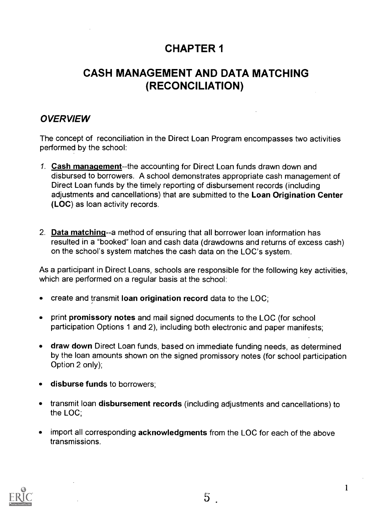# CHAPTER 1

# CASH MANAGEMENT AND DATA MATCHING (RECONCILIATION)

### **OVERVIEW**

The concept of reconciliation in the Direct Loan Program encompasses two activities performed by the school:

- 1. Cash manaqement--the accounting for Direct Loan funds drawn down and disbursed to borrowers. A school demonstrates appropriate cash management of Direct Loan funds by the timely reporting of disbursement records (including adjustments and cancellations) that are submitted to the Loan Origination Center (LOC) as loan activity records.
- 2. Data matchinq--a method of ensuring that all borrower loan information has resulted in a "booked" loan and cash data (drawdowns and returns of excess cash) on the school's system matches the cash data on the LOC's system.

As a participant in Direct Loans, schools are responsible for the following key activities, which are performed on a regular basis at the school:

- create and transmit loan origination record data to the LOC;  $\bullet$
- print promissory notes and mail signed documents to the LOC (for school  $\bullet$ participation Options 1 and 2), including both electronic and paper manifests;
- draw down Direct Loan funds, based on immediate funding needs, as determined by the loan amounts shown on the signed promissory notes (for school participation Option 2 only);
- disburse funds to borrowers;
- transmit loan disbursement records (including adjustments and cancellations) to the LOC;
- import all corresponding acknowledgments from the LOC for each of the above transmissions.



 $\mathbf{1}$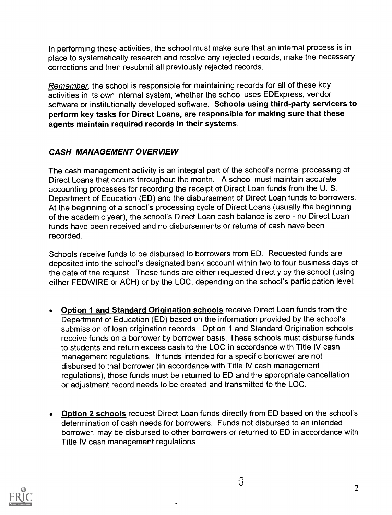In performing these activities, the school must make sure that an internal process is in place to systematically research and resolve any rejected records, make the necessary corrections and then resubmit all previously rejected records.

Remember, the school is responsible for maintaining records for all of these key activities in its own internal system, whether the school uses EDExpress, vendor software or institutionally developed software. Schools using third-party servicers to perform key tasks for Direct Loans, are responsible for making sure that these agents maintain required records in their systems.

### CASH MANAGEMENT OVERVIEW

The cash management activity is an integral part of the school's normal processing of Direct Loans that occurs throughout the month. A school must maintain accurate accounting processes for recording the receipt of Direct Loan funds from the U. S. Department of Education (ED) and the disbursement of Direct Loan funds to borrowers. At the beginning of a school's processing cycle of Direct Loans (usually the beginning of the academic year), the school's Direct Loan cash balance is zero - no Direct Loan funds have been received and no disbursements or returns of cash have been recorded.

Schools receive funds to be disbursed to borrowers from ED. Requested funds are deposited into the school's designated bank account within two to four business days of the date of the request. These funds are either requested directly by the school (using either FEDWIRE or ACH) or by the LOC, depending on the school's participation level:

- Option 1 and Standard Origination schools receive Direct Loan funds from the  $\bullet$ Department of Education (ED) based on the information provided by the school's submission of loan origination records. Option 1 and Standard Origination schools receive funds on a borrower by borrower basis. These schools must disburse funds to students and return excess cash to the LOC in accordance with Title IV cash management regulations. If funds intended for a specific borrower are not disbursed to that borrower (in accordance with Title IV cash management regulations), those funds must be returned to ED and the appropriate cancellation or adjustment record needs to be created and transmitted to the LOC.
- Option 2 schools request Direct Loan funds directly from ED based on the school's  $\bullet$ determination of cash needs for borrowers. Funds not disbursed to an intended borrower, may be disbursed to other borrowers or returned to ED in accordance with Title IV cash management regulations.

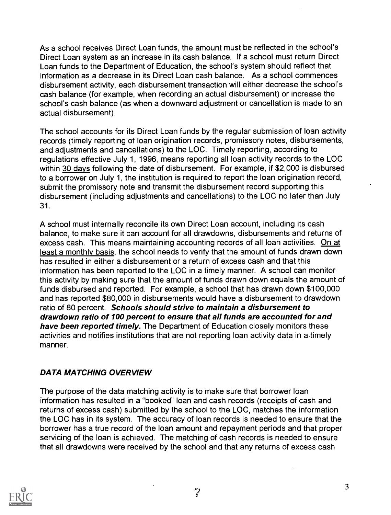As a school receives Direct Loan funds, the amount must be reflected in the school's Direct Loan system as an increase in its cash balance. If a school must return Direct Loan funds to the Department of Education, the school's system should reflect that information as a decrease in its Direct Loan cash balance. As a school commences disbursement activity, each disbursement transaction will either decrease the school's cash balance (for example, when recording an actual disbursement) or increase the school's cash balance (as when a downward adjustment or cancellation is made to an actual disbursement).

The school accounts for its Direct Loan funds by the regular submission of loan activity records (timely reporting of loan origination records, promissory notes, disbursements, and adjustments and cancellations) to the LOC. Timely reporting, according to regulations effective July 1, 1996, means reporting all loan activity records to the LOC within 30 days following the date of disbursement. For example, if \$2,000 is disbursed to a borrower on July 1, the institution is required to report the loan origination record, submit the promissory note and transmit the disbursement record supporting this disbursement (including adjustments and cancellations) to the LOC no later than July 31.

A school must internally reconcile its own Direct Loan account, including its cash balance, to make sure it can account for all drawdowns, disbursements and returns of excess cash. This means maintaining accounting records of all loan activities. On at least a monthly basis, the school needs to verify that the amount of funds drawn down has resulted in either a disbursement or a return of excess cash and that this information has been reported to the LOC in a timely manner. A school can monitor this activity by making sure that the amount of funds drawn down equals the amount of funds disbursed and reported. For example, a school that has drawn down \$100,000 and has reported \$80,000 in disbursements would have a disbursement to drawdown ratio of 80 percent. Schools should strive to maintain a disbursement to drawdown ratio of 100 percent to ensure that all funds are accounted for and have been reported timely. The Department of Education closely monitors these activities and notifies institutions that are not reporting loan activity data in a.timely manner.

#### DATA MATCHING OVERVIEW

The purpose of the data matching activity is to make sure that borrower loan information has resulted in a "booked" loan and cash records (receipts of cash and returns of excess cash) submitted by the school to the LOC, matches the information the LOC has in its system. The accuracy of loan records is needed to ensure that the borrower has a true record of the loan amount and repayment periods and that proper servicing of the loan is achieved. The matching of cash records is needed to ensure that all drawdowns were received by the school and that any returns of excess cash

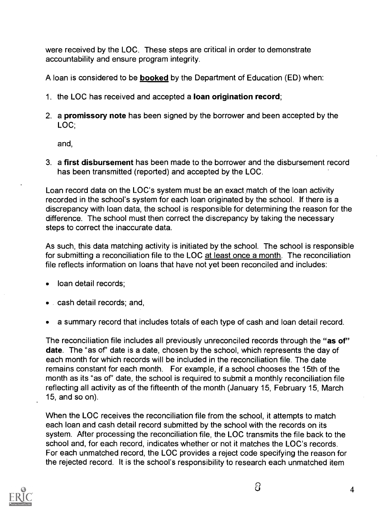were received by the LOC. These steps are critical in order to demonstrate accountability and ensure program integrity.

A loan is considered to be booked by the Department of Education (ED) when:

- 1. the LOC has received and accepted a loan origination record;
- 2. a **promissory note** has been signed by the borrower and been accepted by the LOC;

and,

3. a first disbursement has been made to the borrower and the disbursement record has been transmitted (reported) and accepted by the LOC.

Loan record data on the LOC's system must be an exact match of the loan activity recorded in the school's system for each loan originated by the school. If there is a discrepancy with loan data, the school is responsible for determining the reason for the difference. The school must then correct the discrepancy by taking the necessary steps to correct the inaccurate data.

As such, this data matching activity is initiated by the school. The school is responsible for submitting a reconciliation file to the LOC at least once a month. The reconciliation file reflects information on loans that have not yet been reconciled and includes:

- loan detail records;
- cash detail records; and,
- a summary record that includes totals of each type of cash and loan detail record.

The reconciliation file includes all previously unreconciled records through the "as of" date. The "as of" date is a date, chosen by the school, which represents the day of each month for which records will be included in the reconciliation file. The date remains constant for each month. For example, if a school chooses the 15th of the month as its "as of" date, the school is required to submit a monthly reconciliation file reflecting all activity as of the fifteenth of the month (January 15, February 15, March 15, and so on).

When the LOC receives the reconciliation file from the school, it attempts to match each loan and cash detail record submitted by the school with the records on its system. After processing the reconciliation file, the LOC transmits the file back to the school and, for each record, indicates whether or not it matches the LOC's records. For each unmatched record, the LOC provides a reject code specifying the reason for the rejected record. It is the school's responsibility to research each unmatched item

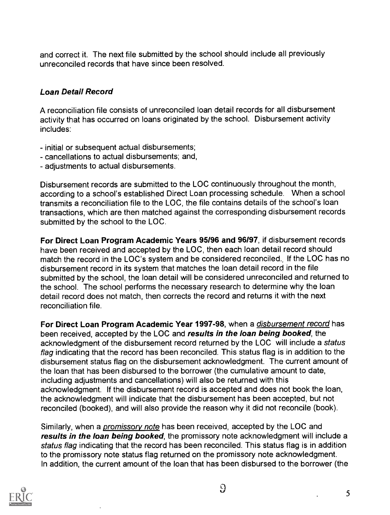and correct it. The next file submitted by the school should include all previously unreconciled records that have since been resolved.

### Loan Detail Record

A reconciliation file consists of unreconciled loan detail records for all disbursement activity that has occurred on loans originated by the school. Disbursement activity includes:

- initial or subsequent actual disbursements;
- cancellations to actual disbursements; and,
- adjustments to actual disbursements.

Disbursement records are submitted to the LOC continuously throughout the month, according to a school's established Direct Loan processing schedule. When a school transmits a reconciliation file to the LOC, the file contains details of the school's loan transactions, which are then matched against the corresponding disbursement records submitted by the school to the LOC.

For Direct Loan Program Academic Years 95/96 and 96/97, if disbursement records have been received and accepted by the LOC, then each loan detail record should match the record in the LOC's system and be considered reconciled., If the LOC has no disbursement record in its system that matches the loan detail record in the file submitted by the school, the loan detail will be considered unreconciled and returned to the school. The school performs the necessary research to determine why the loan detail record does not match, then corrects the record and returns it with the next reconciliation file.

For Direct Loan Program Academic Year 1997-98, when a *disbursement record* has been received, accepted by the LOC and results in the loan being booked, the acknowledgment of the disbursement record returned by the LOC will include a status flag indicating that the record has been reconciled. This status flag is in addition to the disbursement status flag on the disbursement acknowledgment. The current amount of the loan that has been disbursed to the borrower (the cumulative amount to date, including adjustments and cancellations) will also be returned with this acknowledgment. If the disbursement record is accepted and does not book the loan, the acknowledgment will indicate that the disbursement has been accepted, but not reconciled (booked), and will also provide the reason why it did not reconcile (book).

Similarly, when a *promissory note* has been received, accepted by the LOC and results in the loan being booked, the promissory note acknowledgment will include a status flag indicating that the record has been reconciled. This status flag is in addition to the promissory note status flag returned on the promissory note acknowledgment. In addition, the current amount of the loan that has been disbursed to the borrower (the

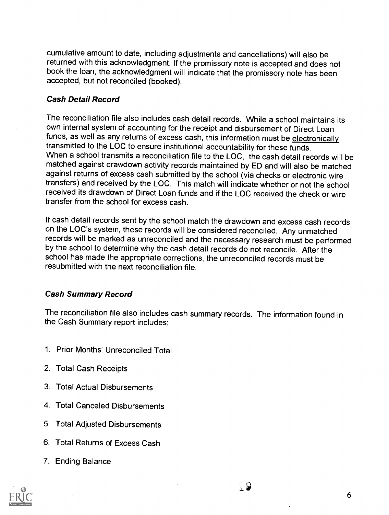cumulative amount to date, including adjustments and cancellations) will also be returned with this acknowledgment. If the promissory note is accepted and does not book the loan, the acknowledgment will indicate that the promissory note has been accepted, but not reconciled (booked).

#### Cash Detail Record

The reconciliation file also includes cash detail records. While a school maintains its own internal system of accounting for the receipt and disbursement of Direct Loan funds, as well as any returns of excess cash, this information must be electronically transmitted to the LOC to ensure institutional accountability for these funds. When a school transmits a reconciliation file to the LOC, the cash detail records will be matched against drawdown activity records maintained by ED and will also be matched against returns of excess cash submitted by the school (via checks or electronic wire transfers) and received by the LOC. This match will indicate whether or not the school received its drawdown of Direct Loan funds and if the LOC received the check or wire transfer from the school for excess cash.

If cash detail records sent by the school match the drawdown and excess cash records on the LOC's system, these records will be considered reconciled. Any unmatched records will be marked as unreconciled and the necessary research must be performed by the school to determine why the cash detail records do not reconcile. After the school has made the appropriate corrections, the unreconciled records must be resubmitted with the next reconciliation file.

#### Cash Summary Record

The reconciliation file also includes cash summary records. The information found in the Cash Summary report includes:

- 1. Prior Months' Unreconciled Total
- 2. Total Cash Receipts
- 3. Total Actual Disbursements
- 4. Total Canceled Disbursements
- 5. Total Adjusted Disbursements
- 6. Total Returns of Excess Cash
- 7. Ending Balance

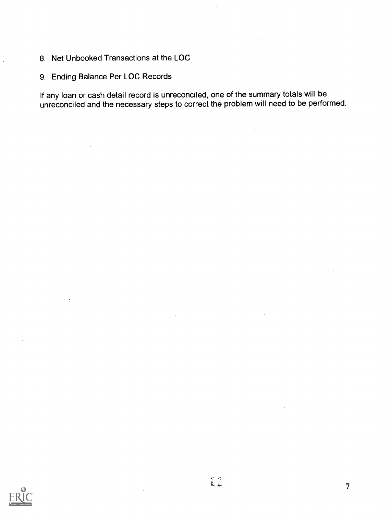- 8. Net Unbooked Transactions at the LOC
- 9. Ending Balance Per LOC Records

If any loan or cash detail record is unreconciled, one of the summary totals will be unreconciled and the necessary steps to correct the problem will need to be performed.

 $\bar{z}$ 



7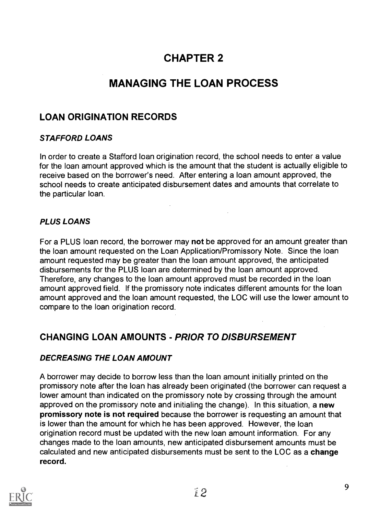# CHAPTER 2

# MANAGING THE LOAN PROCESS

### LOAN ORIGINATION RECORDS

### STAFFORD LOANS

In order to create a Stafford loan origination record, the school needs to enter a value for the loan amount approved which is the amount that the student is actually eligible to receive based on the borrower's need. After entering a loan amount approved, the school needs to create anticipated disbursement dates and amounts that correlate to the particular loan.

### PLUS LOANS

For a PLUS loan record, the borrower may not be approved for an amount greater than the loan amount requested on the Loan Application/Promissory Note. Since the loan amount requested may be greater than the loan amount approved, the anticipated disbursements for the PLUS loan are determined by the loan amount approved. Therefore, any changes to the loan amount approved must be recorded in the loan amount approved field. If the promissory note indicates different amounts for the loan amount approved and the loan amount requested, the LOC will use the lower amount to compare to the loan origination record.

### CHANGING LOAN AMOUNTS - PRIOR TO DISBURSEMENT

#### DECREASING THE LOAN AMOUNT

A borrower may decide to borrow less than the loan amount initially printed on the promissory note after the loan has already been originated (the borrower can request a lower amount than indicated on the promissory note by crossing through the amount approved on the promissory note and initialing the change). In this situation, a new promissory note is not required because the borrower is requesting an amount that is lower than the amount for which he has been approved. However, the loan origination record must be updated with the new loan amount information. For any changes made to the loan amounts, new anticipated disbursement amounts must be calculated and new anticipated disbursements must be sent to the LOC as a change record.

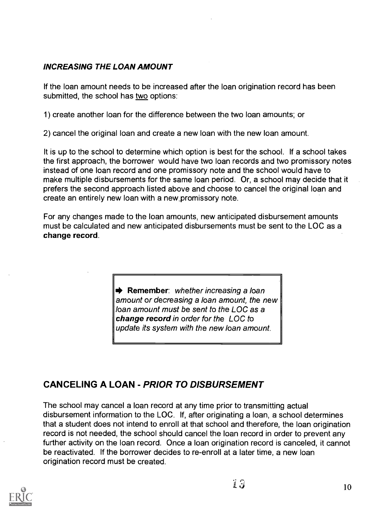### INCREASING THE LOAN AMOUNT

If the loan amount needs to be increased after the loan origination record has been submitted, the school has two options:

1) create another loan for the difference between the two loan amounts; or

2) cancel the original loan and create a new loan with the new loan amount.

It is up to the school to determine which option is best for the school. If a school takes the first approach, the borrower would have two loan records and two promissory notes instead of one loan record and one promissory note and the school would have to make multiple disbursements for the same loan period. Or, a school may decide that it prefers the second approach listed above and choose to cancel the original loan and create an entirely new loan with a new promissory note.

For any changes made to the loan amounts, new anticipated disbursement amounts must be calculated and new anticipated disbursements must be sent to the LOC as a change record.

> Remember: whether increasing a loan amount or decreasing a loan amount, the new loan amount must be sent to the LOC as a change record in order for the LOC to update its system with the new loan amount.

### CANCELING A LOAN - PRIOR TO DISBURSEMENT

The school may cancel a loan record at any time prior to transmitting actual disbursement information to the LOC. If, after originating a loan, a school determines that a student does not intend to enroll at that school and therefore, the loan origination record is not needed, the school should cancel the loan record in order to prevent any further activity on the loan record. Once a loan origination record is canceled, it cannot be reactivated. If the borrower decides to re-enroll at a later time, a new loan origination record must be created.

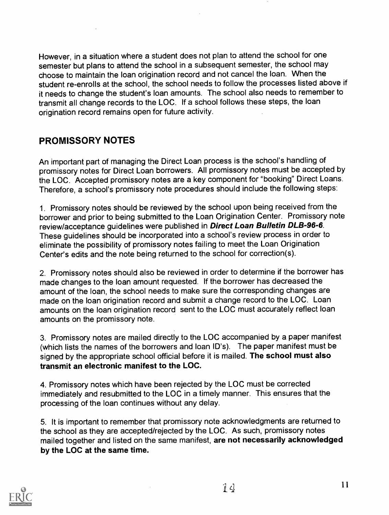However, in a situation where a student does not plan to attend the school for one semester but plans to attend the school in a subsequent semester, the school may choose to maintain the loan origination record and not cancel the loan. When the student re-enrolls at the school, the school needs to follow the processes listed above if it needs to change the student's loan amounts. The school also needs to remember to transmit all change records to the LOC. If a school follows these steps, the loan origination record remains open for future activity.

### PROMISSORY NOTES

An important part of managing the Direct Loan process is the school's handling of promissory notes for Direct Loan borrowers. All promissory notes must be accepted by the LOC. Accepted promissory notes are a key component for "booking" Direct Loans. Therefore, a school's promissory note procedures should include the following steps:

1. Promissory notes should be reviewed by the school upon being received from the borrower and prior to being submitted to the Loan Origination Center. Promissory note review/acceptance guidelines were published in **Direct Loan Bulletin DLB-96-6**. These guidelines should be incorporated into a school's review process in order to eliminate the possibility of promissory notes failing to meet the Loan Origination Center's edits and the note being returned to the school for correction(s).

2. Promissory notes should also be reviewed in order to determine if the borrower has made changes to the loan amount requested. If the borrower has decreased the amount of the loan, the school needs to make sure the corresponding changes are made on the loan origination record and submit a change record to the LOC. Loan amounts on the loan origination record sent to the LOC must accurately reflect loan amounts on the promissory note.

3. Promissory notes are mailed directly to the LOC accompanied by a paper manifest (which lists the names of the borrowers and loan ID's). The paper manifest must be signed by the appropriate school official before it is mailed. The school must also transmit an electronic manifest to the LOC.

4. Promissory notes which have been rejected by the LOC must be corrected immediately and resubmitted to the LOC in a timely manner. This ensures that the processing of the loan continues without any delay.

5. It is important to remember that promissory note acknowledgments are returned to the school as they are accepted/rejected by the LOC. As such, promissory notes mailed together and listed on the same manifest, are not necessarily acknowledged by the LOC at the same time.

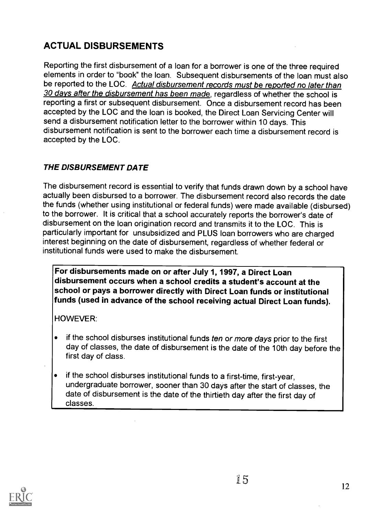# ACTUAL DISBURSEMENTS

Reporting the first disbursement of a loan for a borrower is one of the three required elements in order to "book" the loan. Subsequent disbursements of the loan must also be reported to the LOC. Actual disbursement records must be reported no later than 30 days after the disbursement has been made, regardless of whether the school is reporting a first or subsequent disbursement. Once a disbursement record has been accepted by the LOC and the loan is booked, the Direct Loan Servicing Center will send a disbursement notification letter to the borrower within 10 days. This disbursement notification is sent to the borrower each time a disbursement record is accepted by the LOC.

### THE DISBURSEMENT DATE

The disbursement record is essential to verify that funds drawn down by a school have actually been disbursed to a borrower. The disbursement record also records the date the funds (whether using institutional or federal funds) were made available (disbursed) to the borrower. It is critical that a school accurately reports the borrower's date of disbursement on the loan origination record and transmits it to the LOC. This is particularly important for unsubsidized and PLUS loan borrowers who are charged interest beginning on the date of disbursement, regardless of whether federal or institutional funds were used to make the disbursement.

For disbursements made on or after July 1, 1997, a Direct Loan disbursement occurs when a school credits a student's account at the school or pays a borrower directly with Direct Loan funds or institutional funds (used in advance of the school receiving actual Direct Loan funds).

HOWEVER:

- if the school disburses institutional funds ten or more days prior to the first day of classes, the date of disbursement is the date of the 10th day before the first day of class.
- if the school disburses institutional funds to a first-time, first-year, undergraduate borrower, sooner than 30 days after the start of classes, the date of disbursement is the date of the thirtieth day after the first day of classes.

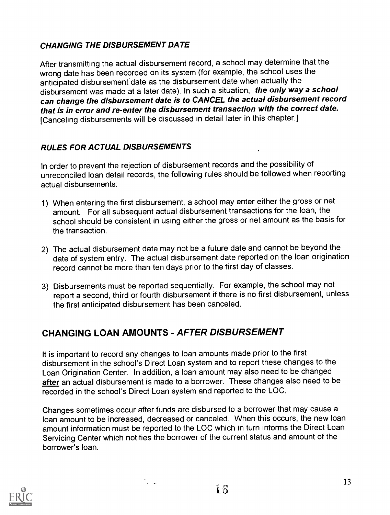### CHANGING THE DISBURSEMENT DATE

After transmitting the actual disbursement record, a school may determine that the wrong date has been recorded on its system (for example, the school uses the anticipated disbursement date as the disbursement date when actually the disbursement was made at a later date). In such a situation, the only way a school can change the disbursement date is to CANCEL the actual disbursement record that is in error and re-enter the disbursement transaction with the correct date. [Canceling disbursements will be discussed in detail later in this chapter.]

### RULES FOR ACTUAL DISBURSEMENTS

In order to prevent the rejection of disbursement records and the possibility of unreconciled loan detail records, the following rules should be followed when reporting actual disbursements:

- 1) When entering the first disbursement, a school may enter either the gross or net amount. For all subsequent actual disbursement transactions for the loan, the school should be consistent in using either the gross or net amount as the basis for the transaction.
- 2) The actual disbursement date may not be a future date and cannot be beyond the date of system entry. The actual disbursement date reported on the loan origination record cannot be more than ten days prior to the first day of classes.
- 3) Disbursements must be reported sequentially. For example, the school may not report a second, third or fourth disbursement if there is no first disbursement, unless the first anticipated disbursement has been canceled.

### CHANGING LOAN AMOUNTS - AFTER DISBURSEMENT

It is important to record any changes to loan amounts made prior to the first disbursement in the school's Direct Loan system and to report these changes to the Loan Origination Center. In addition, a loan amount may also need to be changed after an actual disbursement is made to a borrower. These changes also need to be recorded in the school's Direct Loan system and reported to the LOC.

Changes sometimes occur after funds are disbursed to a borrower that may cause a loan amount to be increased, decreased or canceled. When this occurs, the new loan amount information must be reported to the LOC which in turn informs the Direct Loan Servicing Center which notifies the borrower of the current status and amount of the borrower's loan.

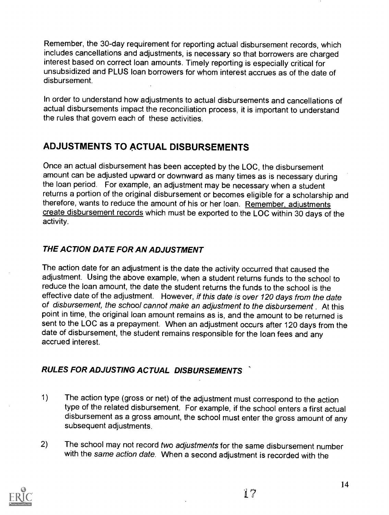Remember, the 30-day requirement for reporting actual disbursement records, which includes cancellations and adjustments, is necessary so that borrowers are charged interest based on correct loan amounts. Timely reporting is especially critical for unsubsidized and PLUS loan borrowers for whom interest accrues as of the date of disbursement.

In order to understand how adjustments to actual disbursements and cancellations of actual disbursements impact the reconciliation process, it is important to understand the rules that govern each of these activities.

### ADJUSTMENTS TO ACTUAL DISBURSEMENTS

Once an actual disbursement has been accepted by the LOC, the disbursement amount can be adjusted upward or downward as many times as is necessary during the loan period. For example, an adjustment may be necessary when a student returns a portion of the original disbursement or becomes eligible for a scholarship and therefore, wants to reduce the amount of his or her loan. Remember, adjustments create disbursement records which must be exported to the LOC within 30 days of the activity.

### THE ACTION DATE FOR AN ADJUSTMENT

The action date for an adjustment is the date the activity occurred that caused the adjustment. Using the above example, when a student returns funds to the school to reduce the loan amount, the date the student returns the funds to the school is the effective date of the adjustment. However, if this date is over 120 days from the date of disbursement, the school cannot make an adjustment to the disbursement . At this point in time, the original loan amount remains as is, and the amount to be returned is sent to the LOC as a prepayment. When an adjustment occurs after 120 days from the date of disbursement, the student remains responsible for the loan fees and any accrued interest.

### RULES FOR ADJUSTING ACTUAL DISBURSEMENTS

- 1) The action type (gross or net) of the adjustment must correspond to the action type of the related disbursement. For example, if the school enters a first actual disbursement as a gross amount, the school must enter the gross amount of any subsequent adjustments.
- 2) The school may not record two adjustments for the same disbursement number with the same action date. When a second adjustment is recorded with the

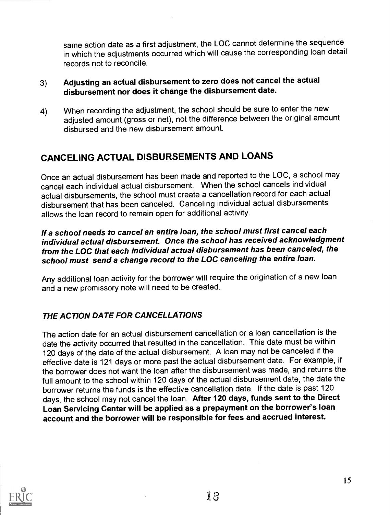same action date as a first adjustment, the LOC cannot determine the sequence in which the adjustments occurred which will cause the corresponding loan detail records not to reconcile.

### 3) Adjusting an actual disbursement to zero does not cancel the actual disbursement nor does it change the disbursement date.

4) When recording the adjustment, the school should be sure to enter the new adjusted amount (gross or net), not the difference between the original amount disbursed and the new disbursement amount.

### CANCELING ACTUAL DISBURSEMENTS AND LOANS

Once an actual disbursement has been made and reported to the LOC, a school may cancel each individual actual disbursement. When the school cancels individual actual disbursements, the school must create a cancellation record for each actual disbursement that has been canceled. Canceling individual actual disbursements allows the loan record to remain open for additional activity.

### If a school needs to cancel an entire loan, the school must first cancel each individual actual disbursement. Once the school has received acknowledgment from the LOC that each individual actual disbursement has been canceled, the school must send a change record to the LOC canceling the entire loan.

Any additional loan activity for the borrower will require the origination of a new loan and a new promissory note will need to be created.

### THE ACTION DATE FOR CANCELLATIONS

The action date for an actual disbursement cancellation or a loan cancellation is the date the activity occurred that resulted in the cancellation. This date must be within 120 days of the date of the actual disbursement. A loan may not be canceled if the effective date is 121 days or more past the actual disbursement date. For example, if the borrower does not want the loan after the disbursement was made, and returns the full amount to the school within 120 days of the actual disbursement date, the date the borrower returns the funds is the effective cancellation date. If the date is past 120 days, the school may not cancel the loan. After 120 days, funds sent to the Direct Loan Servicing Center will be applied as a prepayment on the borrower's loan account and the borrower will be responsible for fees and accrued interest.

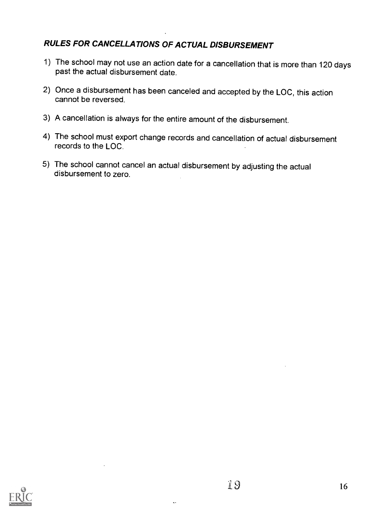### RULES FOR CANCELLATIONS OF ACTUAL DISBURSEMENT

- 1) The school may not use an action date for a cancellation that is more than 120 days past the actual disbursement date.
- 2) Once a disbursement has been canceled and accepted by the LOC, this action cannot be reversed.
- 3) A cancellation is always for the entire amount of the disbursement.
- 4) The school must export change records and cancellation of actual disbursement records to the LOC.
- 5) The school cannot cancel an actual disbursement by adjusting the actual disbursement to zero.



 $\ddotsc$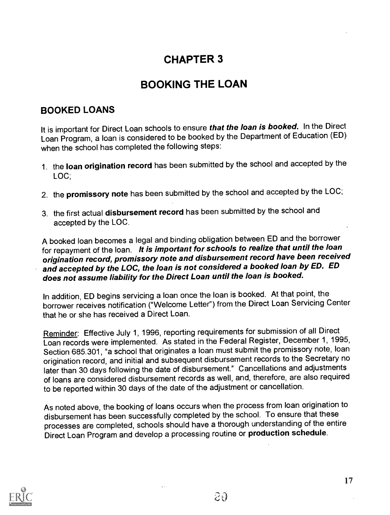# CHAPTER 3

# BOOKING THE LOAN

### BOOKED LOANS

It is important for Direct Loan schools to ensure *that the loan is booked.* In the Direct Loan Program, a loan is considered to be booked by the Department of Education (ED) when the school has completed the following steps:

- 1. the loan origination record has been submitted by the school and accepted by the LOC;
- 2. the promissory note has been submitted by the school and accepted by the LOC;
- 3. the first actual disbursement record has been submitted by the school and accepted by the LOC.

A booked loan becomes a legal and binding obligation between ED and the borrower for repayment of the loan. It is important for schools to realize that until the loan origination record, promissory note and disbursement record have been received and accepted by the LOC, the loan is not considered a booked loan by ED. ED does not assume liability for the Direct Loan until the loan is booked.

In addition, ED begins servicing a loan once the loan is booked. At that point, the borrower receives notification ("Welcome Letter") from the Direct Loan Servicing Center that he or she has received a Direct Loan.

Reminder: Effective July 1, 1996, reporting requirements for submission of all Direct Loan records were implemented. As stated in the Federal Register, December 1, 1995, Section 685.301, "a school that originates a loan must submit the promissory note, loan origination record, and initial and subsequent disbursement records to the Secretary no later than 30 days following the date of disbursement." Cancellations and adjustments of loans are considered disbursement records as well, and, therefore, are also required to be reported within 30 days of the date of the adjustment or cancellation.

As noted above, the booking of loans occurs when the process from loan origination to disbursement has been successfully completed by the school. To ensure that these processes are completed, schools should have a thorough understanding of the entire Direct Loan Program and develop a processing routine or production schedule.

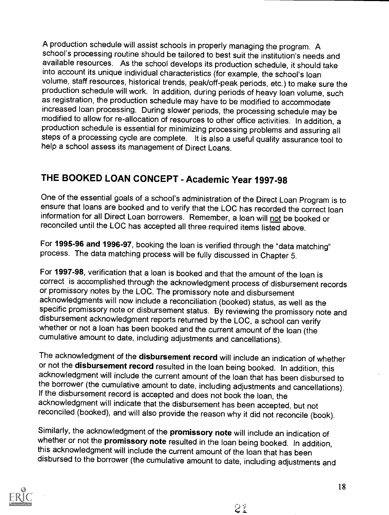A production schedule will assist schools in properly managing the program. A school's processing routine should be tailored to best suit the institution's needs and available resources. As the school develops its production schedule, it should take into account its unique individual characteristics (for example, the school's loan volume, staff resources, historical trends, peak/off-peak periods, etc.) to make sure the production schedule will work. In addition, during periods of heavy loan volume, such as registration, the production schedule may have to be modified to accommodate<br>increased loan processing. During slower periods, the processing schedule may be modified to allow for re-allocation of resources to other office activities. In addition, a production schedule is essential for minimizing processing problems and assuring all steps of a processing cycle are complete. It is also a useful quality assurance tool to help a school assess its management of Direct Loans.

# THE BOOKED LOAN CONCEPT - Academic Year 1997-98

One of the essential goals of a school's administration of the Direct Loan Program is to ensure that loans are booked and to verify that the LOC has recorded the correct loan information for all Direct Loan borrowers. Remember, a loan will not be booked or reconciled until the LOC has accepted all three required items listed above.

For 1995-96 and 1996-97, booking the loan is verified through the "data matching" process. The data matching process will be fully discussed in Chapter 5.

For 1997-98, verification that a loan is booked and that the amount of the loan is correct is accomplished through the acknowledgment process of disbursement records or promissory notes by the LOC. The promissory note and disbursement acknowledgments will now include a reconciliation (booked) status, as well as the specific promissory note or disbursement status. By reviewing the promissory note and disbursement acknowledgment reports returned by the LOC, a school can verify whether or not a loan has been booked and the current amount of the loan (the cumulative amount to date, including adjustments and cancellations).

The acknowledgment of the disbursement record will include an indication of whether or not the disbursement record resulted in the loan being booked. In addition, this acknowledgment will include the current amount of the loan that has been disbursed to the borrower (the cumulative amount to date, including adjustments and cancellations). If the disbursement record is accepted and does not book the loan, the<br>acknowledgment will indicate that the disbursement has been accepted, but not reconciled (booked), and will also provide the reason why it did not reconcile (book).

Similarly, the acknowledgment of the promissory note will include an indication of whether or not the promissory note resulted in the loan being booked. In addition, this acknowledgment will include the current amount of the loan that has been disbursed to the borrower (the cumulative amount to date, including adjustments and

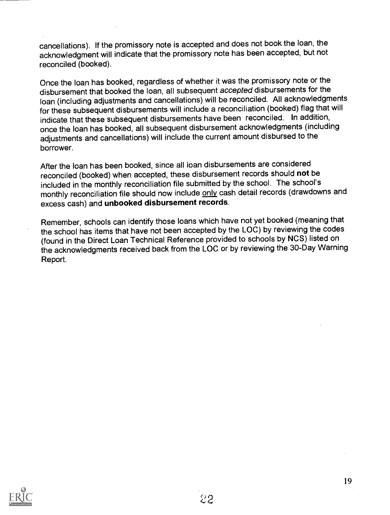cancellations). If the promissory note is accepted and does not book the loan, the acknowledgment will indicate that the promissory note has been accepted, but not reconciled (booked).

Once the loan has booked, regardless of whether it was the promissory note or the disbursement that booked the loan, all subsequent accepted disbursements for the loan (including adjustments and cancellations) will be reconciled. All acknowledgments for these subsequent disbursements will include a reconciliation (booked) flag that will indicate that these subsequent disbursements have been reconciled. In addition, once the loan has booked, all subsequent disbursement acknowledgments (including adjustments and cancellations) will include the current amount disbursed to the borrower.

After the loan has been booked, since all ioan disbursements are considered reconciled (booked) when accepted, these disbursement records should not be included in the monthly reconciliation file submitted by the school. The school's monthly reconciliation file should now include only cash detail records (drawdowns and excess cash) and unbooked disbursement records.

Remember, schools can identify those loans which have not yet booked (meaning that the school has items that have not been accepted by the LOC) by reviewing the codes (found in the Direct Loan Technical Reference provided to schools by NCS) listed on the acknowledgments received back from the LOC or by reviewing the 30-Day Warning Report.

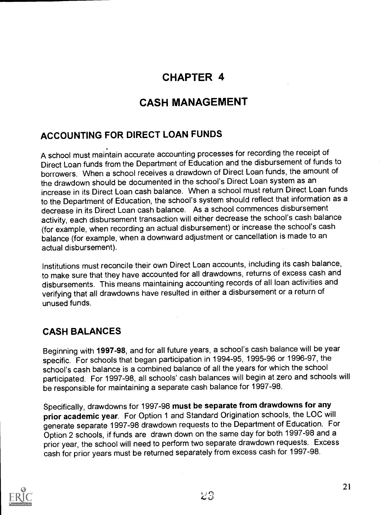# CHAPTER 4

# CASH MANAGEMENT

### ACCOUNTING FOR DIRECT LOAN FUNDS

A school must maintain accurate accounting processes for recording the receipt of Direct Loan funds from the Department of Education and the disbursement of funds to borrowers. When a school receives a drawdown of Direct Loan funds, the amount of the drawdown should be documented in the school's Direct Loan system as an increase in its Direct Loan cash balance. When a school must return Direct Loan funds to the Department of Education, the school's system should reflect that information as a decrease in its Direct Loan cash balance. As a school commences disbursement activity, each disbursement transaction will either decrease the school's cash balance (for example, when recording an actual disbursement) or increase the school's cash balance (for example, when a downward adjustment or cancellation is made to an actual disbursement).

Institutions must reconcile their own Direct Loan accounts, including its cash balance, to make sure that they have accounted for all drawdowns, returns of excess cash and disbursements. This means maintaining accounting records of all loan activities and verifying that all drawdowns have resulted in either a disbursement or a return of unused funds.

### CASH BALANCES

Beginning with 1997-98, and for all future years, a school's cash balance will be year specific. For schools that began participation in 1994-95, 1995-96 or 1996-97, the school's cash balance is a combined balance of all the years for which the school participated. For 1997-98, all schools' cash balances will begin at zero and schools will be responsible for maintaining a separate cash balance for 1997-98.

Specifically, drawdowns for 1997-98 must be separate from drawdowns for any prior academic year. For Option 1 and Standard Origination schools, the LOC will generate separate 1997-98 drawdown requests to the Department of Education. For Option 2 schools, if funds are drawn down on the same day for both 1997-98 and a prior year, the school will need to perform two separate drawdown requests. Excess cash for prior years must be returned separately from excess cash for 1997-98.

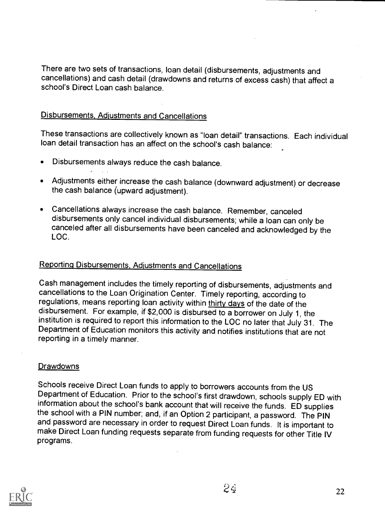There are two sets of transactions, loan detail (disbursements, adjustments and cancellations) and cash detail (drawdowns and returns of excess cash) that affect a school's Direct Loan cash balance.

#### Disbursements, Adjustments and Cancellations

These transactions are collectively known as "loan detail" transactions. Each individual loan detail transaction has an affect on the school's cash balance:

- Disbursements always reduce the cash balance.
- Adjustments either increase the cash balance (downward adjustment) or decrease the cash balance (upward adjustment).
- Cancellations always increase the cash balance. Remember, canceled disbursements only cancel individual disbursements; while a loan can only be canceled after all disbursements have been canceled and acknowledged by the LOC.

### Reporting Disbursements, Adjustments and Cancellations

Cash management includes the timely reporting of disbursements, adjustments and cancellations to the Loan Origination Center. Timely reporting, according to<br>regulations, means reporting loan activity within thirty days of the date of the disbursement. For example, if \$2,000 is disbursed to a borrower on July 1, the institution is required to report this information to the LOC no later that July 31. The Department of Education monitors this activity and notifies institutions that are not reporting in a timely manner.

#### **Drawdowns**

Schools receive Direct Loan funds to apply to borrowers accounts from the US Department of Education. Prior to the school's first drawdown, schools supply ED with information about the school's bank account that will receive the funds. ED supplies the school with a PIN number; and, if an Option 2 participant, a password. The PIN make Direct Loan funding requests separate from funding requests for other Title IV programs.



 $2\phi$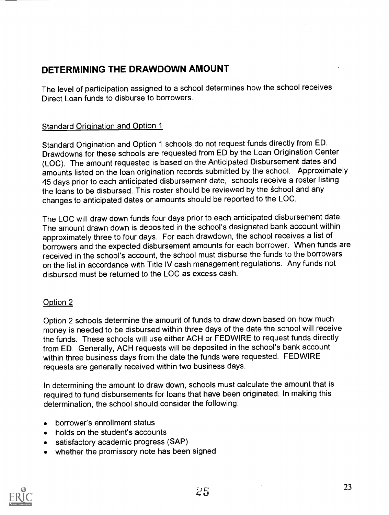### DETERMINING THE DRAWDOWN AMOUNT

The level of participation assigned to a school determines howthe school receives Direct Loan funds to disburse to borrowers.

### Standard Origination and Option 1

Standard Origination and Option 1 schools do not request funds directly from ED. Drawdowns for these schools are requested from ED by the Loan Origination Center (LOC). The amount requested is based on the Anticipated Disbursement dates and amounts listed on the loan origination records submitted by the school. Approximately 45 days prior to each anticipated disbursement date, schools receive a roster listing the loans to be disbursed. This roster should be reviewed by the school and any changes to anticipated dates or amounts should be reported to the LOC.

The LOC will draw down funds four days prior to each anticipated disbursement date. The amount drawn down is deposited in the school's designated bank account within approximately three to four days. For each drawdown, the school receives a list of borrowers and the expected disbursement amounts for each borrower. When funds are received in the school's account, the school must disburse the funds to the borrowers on the list in accordance with Title IV cash management regulations. Any funds not disbursed must be returned to the LOC as excess cash.

#### Option 2

Option 2 schools determine the amount of funds to draw down based on how much money is needed to be disbursed within three days of the date the school will receive the funds. These schools will use either ACH or FEDWIRE to request funds directly from ED. Generally, ACH requests will be deposited in the school's bank account within three business days from the date the funds were requested. FEDWIRE requests are generally received within two business days.

In determining the amount to draw down, schools must calculate the amount that is required to fund disbursements for loans that have been originated. In making this determination, the school should consider the following:

- borrower's enrollment status
- holds on the student's accounts
- satisfactory academic progress (SAP)
- whether the promissory note has been signed

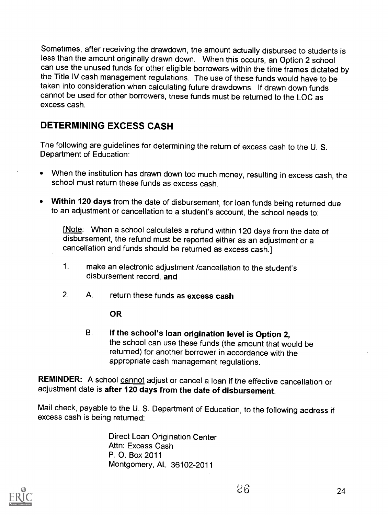Sometimes, after receiving the drawdown, the amount actually disbursed to students is less than the amount originally drawn down. When this occurs, an Option 2 school can use the unused funds for other eligible borrowers within the time frames dictated by the Title IV cash management regulations. The use of these funds would have to be taken into consideration when calculating future drawdowns. If drawn down funds cannot be used for other borrowers, these funds must be returned to the LOC as excess cash.

### DETERMINING EXCESS CASH

The following are guidelines for determining the return of excess cash to the U. S. Department of Education:

- When the institution has drawn down too much money, resulting in excess cash, the school must return these funds as excess cash.
- Within 120 days from the date of disbursement, for loan funds being returned due to an adjustment or cancellation to a student's account, the school needs to:

[Note: When a school calculates a refund within 120 days from the date of disbursement, the refund must be reported either as an adjustment or a cancellation and funds should be returned as excess cash.]

- 1. make an electronic adjustment /cancellation to the student's disbursement record, and
- 2. A. return these funds as excess cash

OR

B. if the school's loan origination level is Option 2, the school can use these funds (the amount that would be returned) for another borrower in accordance with the appropriate cash management regulations.

REMINDER: A school cannot adjust or cancel a loan if the effective cancellation or adjustment date is after 120 days from the date of disbursement.

Mail check, payable to the U. S. Department of Education, to the following address if excess cash is being returned:

Direct Loan Origination Center Attn: Excess Cash P. O. Box 2011 Montgomery, AL 36102-2011

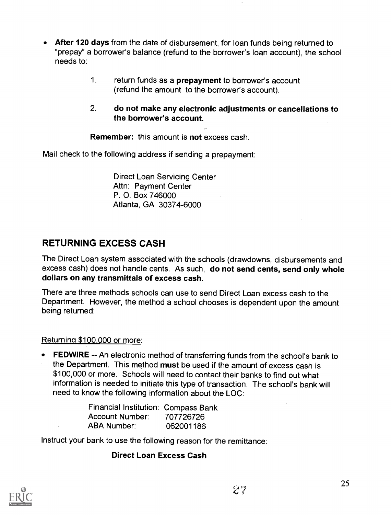- After 120 days from the date of disbursement, for loan funds being returned to "prepay" a borrower's balance (refund to the borrower's loan account), the school needs to:
	- 1. return funds as a prepayment to borrower's account (refund the amount to the borrower's account).
	- 2. do not make any electronic adjustments or cancellations to the borrower's account.

#### Remember: this amount is not excess cash.

Mail check to the following address if sending a prepayment:

Direct Loan Servicing Center Attn: Payment Center P. 0. Box 746000 Atlanta, GA 30374-6000

### RETURNING EXCESS CASH

The Direct Loan system associated with the schools (drawdowns, disbursements and excess cash) does not handle cents. As such, do not send cents, send only whole dollars on any transmittals of excess cash.

There are three methods schools can use to send Direct Loan excess cash to the Department. However, the method a school chooses is dependent upon the amount being returned:

#### Returning \$100,000 or more:

FEDWIRE -- An electronic method of transferring funds from the school's bank to the Department. This method must be used if the amount of excess cash is \$100,000 or more. Schools will need to contact their banks to find out what information is needed to initiate this type of transaction. The school's bank will need to know the following information about the LOC:

| Financial Institution: Compass Bank |           |
|-------------------------------------|-----------|
| Account Number:                     | 707726726 |
| ABA Number:                         | 062001186 |

Instruct your bank to use the following reason for the remittance:

#### Direct Loan Excess Cash

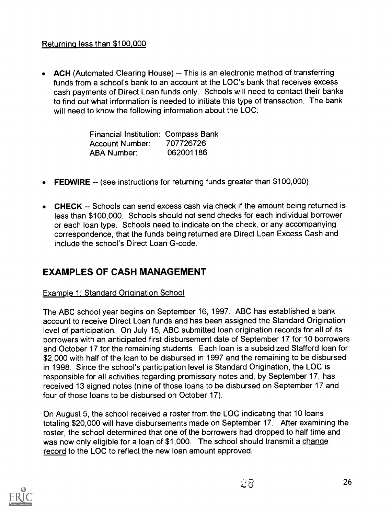### Returning less than \$100,000

• ACH (Automated Clearing House) -- This is an electronic method of transferring funds from a school's bank to an account at the LOC's bank that receives excess cash payments of Direct Loan funds only. Schools will need to contact their banks to find out what information is needed to initiate this type of transaction. The bank will need to know the following information about the LOC:

> Financial Institution: Compass Bank Account Number: 707726726 ABA Number: 062001186

- **FEDWIRE** -- (see instructions for returning funds greater than \$100,000)
- $\bullet$  CHECK  $-$  Schools can send excess cash via check if the amount being returned is less than \$100,000. Schools should not send checks for each individual borrower or each loan type. Schools need to indicate on the check, or any accompanying correspondence, that the funds being returned are Direct Loan Excess Cash and include the school's Direct Loan G-code.

### EXAMPLES OF CASH MANAGEMENT

#### Example 1: Standard Origination School

The ABC school year begins on September 16, 1997. ABC has established a bank account to receive Direct Loan funds and has been assigned the Standard Origination level of participation. On July 15, ABC submitted loan origination records for all of its borrowers with an anticipated first disbursement date of September 17 for 10 borrowers and October 17 for the remaining students. Each loan is a subsidized Stafford loan for \$2,000 with half of the loan to be disbursed in 1997 and the remaining to be disbursed in 1998. Since the school's participation level is Standard Origination, the LOC is responsible for all activities regarding promissory notes and, by September 17, has received 13 signed notes (nine of those loans to be disbursed on September 17 and four of those loans to be disbursed on October 17).

On August 5, the school received a roster from the LOC indicating that 10 loans totaling \$20,000 will have disbursements made on September 17. After examining the roster, the school determined that one of the borrowers had dropped to half time and was now only eligible for a loan of \$1,000. The school should transmit a change record to the LOC to reflect the new loan amount approved.

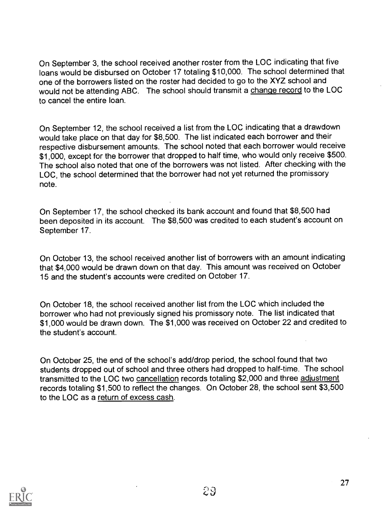On September 3, the school received another roster from the LOC indicating that five loans would be disbursed on October 17 totaling \$10,000. The school determined that one of the borrowers listed on the roster had decided to go to the XYZ school and would not be attending ABC. The school should transmit a change record to the LOC to cancel the entire loan.

On September 12, the school received a list from the LOC indicating that a drawdown would take place on that day for \$8,500. The list indicated each borrower and their respective disbursement amounts. The school noted that each borrower would receive \$1,000, except for the borrower that dropped to half time, who would only receive \$500. The school also noted that one of the borrowers was not listed. After checking with the LOC, the school determined that the borrower had not yet returned the promissory note.

On September 17, the school checked its bank account and found that \$8,500 had been deposited in its account. The \$8,500 was credited to each student's account on September 17.

On October 13, the school received another list of borrowers with an amount indicating that \$4,000 would be drawn down on that day. This amount was received on October 15 and the student's accounts were credited on October 17.

On October 18, the school received another list from the LOC which included the borrower who had not previously signed his promissory note. The list indicated that \$1,000 would be drawn down. The \$1,000 was received on October 22 and credited to the student's account.

On October 25, the end of the school's add/drop period, the school found that two students dropped out of school and three others had dropped to half-time. The school transmitted to the LOC two cancellation records totaling \$2,000 and three adjustment records totaling \$1,500 to reflect the changes. On October 28, the school sent \$3,500 to the LOC as a return of excess cash.

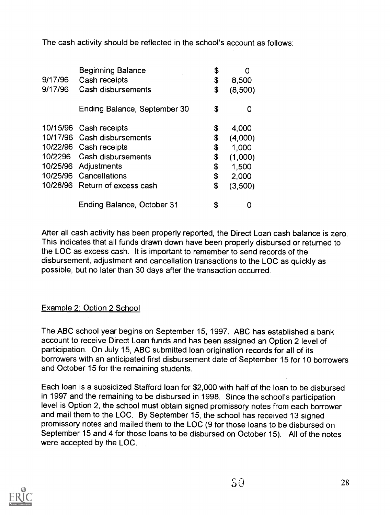The cash activity should be reflected in the school's account as follows:

| 9/17/96<br>9/17/96 | <b>Beginning Balance</b><br>Cash receipts<br>Cash disbursements | \$<br>\$<br>\$ | O<br>8,500<br>(8,500) |
|--------------------|-----------------------------------------------------------------|----------------|-----------------------|
|                    | Ending Balance, September 30                                    | \$             | O                     |
|                    | 10/15/96 Cash receipts                                          | \$             | 4,000                 |
|                    | 10/17/96 Cash disbursements                                     | \$             | (4,000)               |
|                    | 10/22/96 Cash receipts                                          | \$             | 1,000                 |
|                    | 10/2296 Cash disbursements                                      | \$             | (1,000)               |
|                    | 10/25/96 Adjustments                                            | \$             | $-1,500$              |
|                    | 10/25/96 Cancellations                                          | \$             | 2,000                 |
|                    | 10/28/96 Return of excess cash                                  | \$             | (3,500)               |
|                    | Ending Balance, October 31                                      | \$             |                       |

After all cash activity has been properly reported, the Direct Loan cash balance is zero. This indicates that all funds drawn down have been properly disbursed or returned to the LOC as excess cash. It is important to remember to send records of the disbursement, adjustment and cancellation transactions to the LOC as quickly as possible, but no later than 30 days after the transaction occurred.

### Example 2: Option 2 School

The ABC school year begins on September 15, 1997. ABC has established a bank account to receive Direct Loan funds and has been assigned an Option 2 level of participation. On July 15, ABC submitted loan origination records for all of its borrowers with an anticipated first disbursement date of September 15 for 10 borrowers and October 15 for the remaining students.

Each loan is a subsidized Stafford loan for \$2,000 with half of the loan to be disbursed in 1997 and the remaining to be disbursed in 1998. Since the school's participation level is Option 2, the school must obtain signed promissory notes from each borrower and mail them to the LOC. By September 15, the school has received 13 signed promissory notes and mailed them to the LOC (9 for those loans to be disbursed on September 15 and 4 for those loans to be disbursed on October 15). All of the notes were accepted by the LOC.

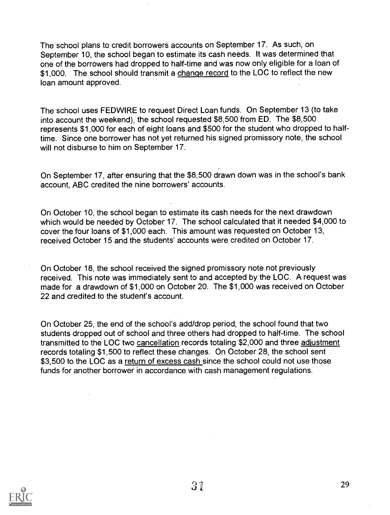The school plans to credit borrowers accounts on September 17. As such, on September 10, the school began to estimate its cash needs. It was determined that one of the borrowers had dropped to half-time and was now only eligible for a loan of \$1,000. The school should transmit a change record to the LOC to reflect the new loan amount approved.

The school uses FEDWIRE to request Direct Loan funds. On September 13 (to take into account the weekend), the school requested \$8,500 from ED. The \$8,500 represents \$1,000 for each of eight loans and \$500 for the student who dropped to halftime. Since one borrower has not yet returned his signed promissory note, the school will not disburse to him on September 17.

On September 17, after ensuring that the \$8,500 drawn down was in the school's bank account, ABC credited the nine borrowers' accounts.

On October 10, the school began to estimate its cash needs for the next drawdown which would be needed by October 17. The school calculated that it needed \$4,000 to cover the four loans of \$1,000 each. This amount was requested on October 13, received October 15 and the students' accounts were credited on October 17.

On October 18, the school received the signed promissory note not previously received. This note was immediately sent to and accepted by the LOC. A request was made for a drawdown of \$1,000 on October 20. The \$1,000 was received on October 22 and credited to the student's account.

On October 25, the end of the school's add/drop period, the school found that two students dropped out of school and three others had dropped to half-time. The school transmitted to the LOC two cancellation records totaling \$2,000 and three adjustment records totaling \$1,500 to reflect these changes. On October 28, the school sent \$3,500 to the LOC as a return of excess cash since the school could not use those funds for another borrower in accordance with cash management regulations.

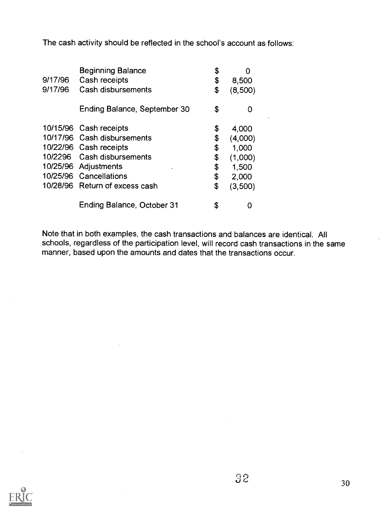The cash activity should be reflected in the school's account as follows:

| 9/17/96<br>9/17/96 | <b>Beginning Balance</b><br>Cash receipts<br>Cash disbursements                                                                                                 | \$<br>\$<br>\$                   | O<br>8,500<br>(8,500)                                  |  |
|--------------------|-----------------------------------------------------------------------------------------------------------------------------------------------------------------|----------------------------------|--------------------------------------------------------|--|
|                    | Ending Balance, September 30                                                                                                                                    | \$                               | O                                                      |  |
|                    | 10/15/96 Cash receipts<br>10/17/96 Cash disbursements<br>10/22/96 Cash receipts<br>10/2296 Cash disbursements<br>10/25/96 Adjustments<br>10/25/96 Cancellations | \$<br>\$<br>\$<br>\$<br>\$<br>\$ | 4,000<br>(4,000)<br>1,000<br>(1,000)<br>1,500<br>2,000 |  |
|                    | 10/28/96 Return of excess cash                                                                                                                                  | \$                               | (3,500)                                                |  |
|                    | Ending Balance, October 31                                                                                                                                      | \$                               |                                                        |  |

Note that in both examples, the cash transactions and balances are identical. All schools, regardless of the participation level, will record cash transactions in the same manner, based upon the amounts and dates that the transactions occur.

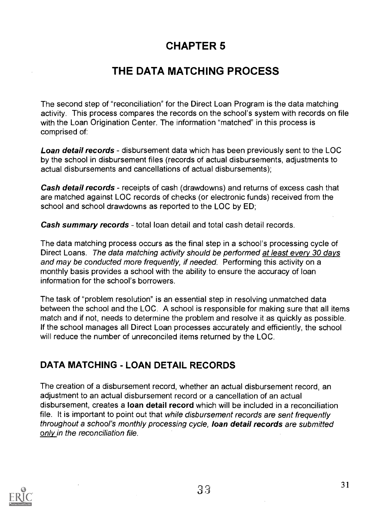# CHAPTER 5

# THE DATA MATCHING PROCESS

The second step of "reconciliation" for the Direct Loan Program is the data matching activity. This process compares the records on the school's system with records on file with the Loan Origination Center. The information "matched" in this process is comprised of:

**Loan detail records** - disbursement data which has been previously sent to the LOC by the school in disbursement files (records of actual disbursements, adjustments to actual disbursements and cancellations of actual disbursements);

Cash detail records - receipts of cash (drawdowns) and returns of excess cash that are matched against LOC records of checks (or electronic funds) received from the school and school drawdowns as reported to the LOC by ED;

**Cash summary records** - total loan detail and total cash detail records.

The data matching process occurs as the final step in a school's processing cycle of Direct Loans. The data matching activity should be performed at least every 30 days and may be conducted more frequently, if needed. Performing this activity on a monthly basis provides a school with the ability to ensure the accuracy of loan information for the school's borrowers.

The task of "problem resolution" is an essential step in resolving unmatched data between the school and the LOC. A school is responsible for making sure that all items match and if not, needs to determine the problem and resolve it as quickly as possible. If the school manages all Direct Loan processes accurately and efficiently, the school will reduce the number of unreconciled items returned by the LOC.

### DATA MATCHING - LOAN DETAIL RECORDS

The creation of a disbursement record, whether an actual disbursement record, an adjustment to an actual disbursement record or a cancellation of an actual disbursement, creates a loan detail record which will be included in a reconciliation file. It is important to point out that while disbursement records are sent frequently throughout a school's monthly processing cycle, loan detail records are submitted only in the reconciliation file.

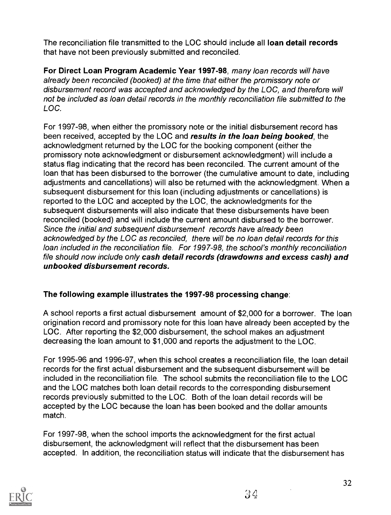The reconciliation file transmitted to the LOC should include all loan detail records that have not been previously submitted and reconciled.

For Direct Loan Program Academic Year 1997-98, many loan records will have already been reconciled (booked) at the time that either the promissory note or disbursement record was accepted and acknowledged by the LOC, and therefore will not be included as loan detail records in the monthly reconciliation file submitted to the LOC.

For 1997-98, when either the promissory note or the initial disbursement record has been received, accepted by the LOC and results in the loan being booked, the acknowledgment returned by the LOC for the booking component (either the promissory note acknowledgment or disbursement acknowledgment) will include a status flag indicating that the record has been reconciled. The current amount of the loan that has been disbursed to the borrower (the cumulative amount to date, including adjustments and cancellations) will also be returned with the acknowledgment. When a subsequent disbursement for this loan (including adjustments or cancellations) is reported to the LOC and accepted by the LOC, the acknowledgments for the subsequent disbursements will also indicate that these disbursements have been reconciled (booked) and will include the current amount disbursed to the borrower. Since the initial and subsequent disbursement records have already been acknowledged by the LOC as reconciled, there will be no loan detail records for this loan included in the reconciliation file. For 1997-98, the school's monthly reconciliation file should now include only cash detail records (drawdowns and excess cash) and unbooked disbursement records.

### The following example illustrates the 1997-98 processing change:

A school reports a first actual disbursement amount of \$2,000 for a borrower. The loan origination record and promissory note for this loan have already been accepted by the LOC. After reporting the \$2,000 disbursement, the school makes an adjustment decreasing the loan amount to \$1,000 and reports the adjustment to the LOC.

For 1995-96 and 1996-97, when this school creates a reconciliation file, the loan detail records for the first actual disbursement and the subsequent disbursement will be included in the reconciliation file. The school submits the reconciliation file to the LOC and the LOC matches both loan detail records to the corresponding disbursement records previously submitted to the LOC. Both of the loan detail records will be accepted by the LOC because the loan has been booked and the dollar amounts match.

For 1997-98, when the school imports the acknowledgment for the first actual disbursement, the acknowledgment will reflect that the disbursement has been accepted. In addition, the reconciliation status will indicate that the disbursement has

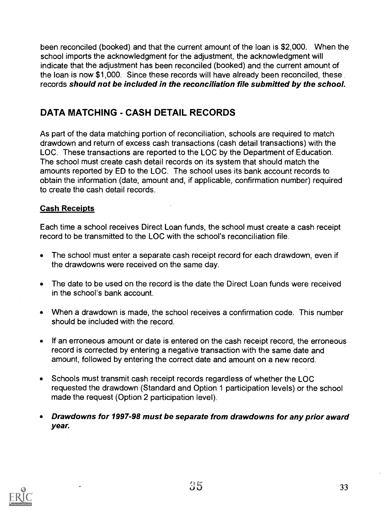been reconciled (booked) and that the current amount of the loan is \$2,000. When the school imports the acknowledgment for the adjustment, the acknowledgment will indicate that the adjustment has been reconciled (booked) and the current amount of the loan is now \$1,000. Since these records will have already been reconciled, these records should not be included in the reconciliation file submitted by the school.

### DATA MATCHING - CASH DETAIL RECORDS

As part of the data matching portion of reconciliation, schools are required to match drawdown and return of excess cash transactions (cash detail transactions) with the LOC. These transactions are reported to the LOC by the Department of Education. The school must create cash detail records on its system that should match the amounts reported by ED to the LOC. The school uses its bank account records to obtain the information (date, amount and, if applicable, confirmation number) required to create the cash detail records.

### Cash Receipts

Each time a school receives Direct Loan funds, the school must create a cash receipt record to be transmitted to the LOC with the school's reconciliation file.

- $\bullet$ The school must enter a separate cash receipt record for each drawdown, even if the drawdowns were received on the same day.
- The date to be used on the record is the date the Direct Loan funds were received in the school's bank account.
- When a drawdown is made, the school receives a confirmation code. This number should be included with the record.
- If an erroneous amount or date is entered on the cash receipt record, the erroneous  $\bullet$ record is corrected by entering a negative transaction with the same date and amount, followed by entering the correct date and amount on a new record.
- Schools must transmit cash receipt records regardless of whether the LOC requested the drawdown (Standard and Option 1 participation levels) or the school made the request (Option 2 participation level).
- Drawdowns for 1997-98 must be separate from drawdowns for any prior award year.

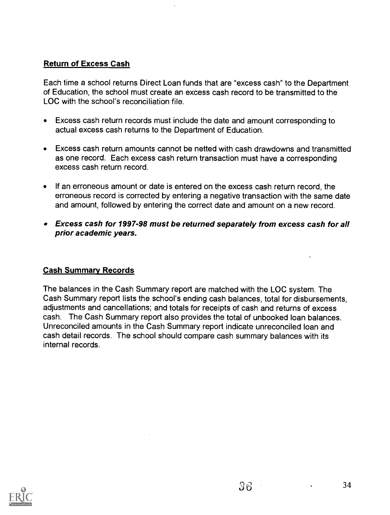### Return of Excess Cash

Each time a school returns Direct Loan funds that are "excess cash" to the Department of Education, the school must create an excess cash record to be transmitted to the LOC with the school's reconciliation file.

- Excess cash return records must include the date and amount corresponding to actual excess cash returns to the Department of Education.
- Excess cash return amounts cannot be netted with cash drawdowns and transmitted as one record. Each excess cash return transaction must have a corresponding excess cash return record.
- If an erroneous amount or date is entered on the excess cash return record, the erroneous record is corrected by entering a negative transaction with the same date and amount, followed by entering the correct date and amount on a new record.
- Excess cash for 1997-98 must be returned separately from excess cash for all prior academic years.

#### Cash Summary Records

The balances in the Cash Summary report are matched with the LOC system. The Cash Summary report lists the school's ending cash balances, total for disbursements, adjustments and cancellations; and totals for receipts of cash and returns of excess cash. The Cash Summary report also provides the total of unbooked loan balances. Unreconciled amounts in the Cash Summary report indicate unreconciled loan and cash detail records. The school should compare cash summary balances with its internal records.

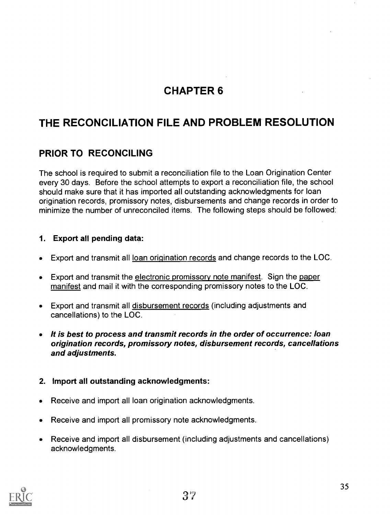# CHAPTER 6

# THE RECONCILIATION FILE AND PROBLEM RESOLUTION

### PRIOR TO RECONCILING

The school is required to submit a reconciliation file to the Loan Origination Center every 30 days. Before the school attempts to export a reconciliation file, the school should make sure that it has imported all outstanding acknowledgments for loan origination records, promissory notes, disbursements and change records in order to minimize the number of unreconciled items. The following steps should be followed:

#### 1. Export all pending data:

- Export and transmit all loan origination records and change records to the LOC.  $\bullet$
- Export and transmit the electronic promissory note manifest. Sign the paper,  $\bullet$ manifest and mail it with the corresponding promissory notes to the LOC.
- Export and transmit all disbursement records (including adjustments and  $\bullet$ cancellations) to the LOC.
- It is best to process and transmit records in the order of occurrence: Ioan origination records, promissory notes, disbursement records, cancellations and adjustments.

#### 2. Import all outstanding acknowledgments:

- Receive and import all loan origination acknowledgments.  $\bullet$
- Receive and import all promissory note acknowledgments.  $\bullet$
- Receive and import all disbursement (including adjustments and cancellations) acknowledgments.

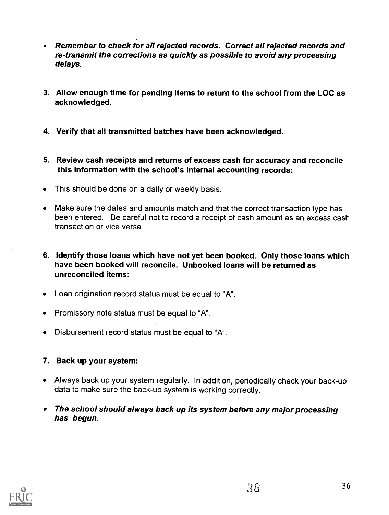- Remember to check for all rejected records. Correct all rejected records and re-transmit the corrections as quickly as possible to avoid any processing delays.
- 3. Allow enough time for pending items to return to the school from the LOC as acknowledged.
- 4. Verify that all transmitted batches have been acknowledged.
- 5. Review cash receipts and returns of excess cash for accuracy and reconcile this information with the school's internal accounting records:
- This should be done on a daily or weekly basis.
- Make sure the dates and amounts match and that the correct transaction type has been entered. Be careful not to record a receipt of cash amount as an excess cash transaction or vice versa.
- 6. Identify those loans which have not yet been booked. Only those loans which have been booked will reconcile. Unbooked loans will be returned as unreconciled items:
- Loan origination record status must be equal to "A".
- Promissory note status must be equal to "A".
- Disbursement record status must be equal to "A".
- 7. Back up your system:
- Always back up your system regularly. In addition, periodically check your back-up data to make sure the back-up system is working correctly.
- The school should always back up its system before any major processing has begun.

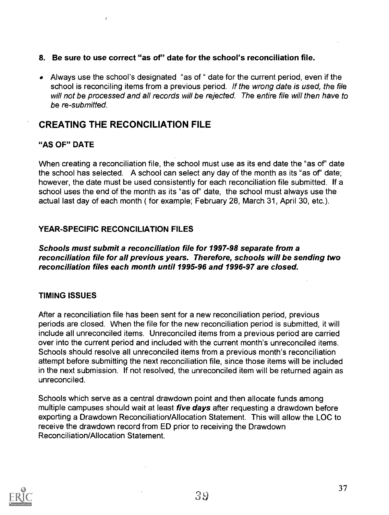#### 8. Be sure to use correct "as of" date for the school's reconciliation file.

Always use the school's designated "as of " date for the current period, even if the school is reconciling items from a previous period. If the wrong date is used, the file will not be processed and all records will be rejected. The entire file will then have to be re-submitted.

### CREATING THE RECONCILIATION FILE

#### "AS OF" DATE

When creating a reconciliation file, the school must use as its end date the "as of" date the school has selected. A school can select any day of the month as its "as of" date; however, the date must be used consistently for each reconciliation file submitted. If a school uses the end of the month as its "as of" date, the school must always use the actual last day of each month ( for example; February 28, March 31, April 30, etc.).

#### YEAR-SPECIFIC RECONCILIATION FILES

Schools must submit a reconciliation file for 1997-98 separate from a reconciliation file for all previous years. Therefore, schools will be sending two reconciliation files each month until 1995-96 and 1996-97 are closed.

#### TIMING ISSUES

After a reconciliation file has been sent for a new reconciliation period, previous periods are closed. When the file for the new reconciliation period is submitted, it will include all unreconciled items. Unreconciled items from a previous period are carried over into the current period and included with the current month's unreconciled items. Schools should resolve all unreconciled items from a previous month's reconciliation attempt before submitting the next reconciliation file, since those items will be included in the next submission. If not resolved, the unreconciled item will be returned again as unreconciled.

Schools which serve as a central drawdown point and then allocate funds among multiple campuses should wait at least *five days* after requesting a drawdown before exporting a Drawdown Reconciliation/Allocation Statement. This will allow the LOC to receive the drawdown record from ED prior to receiving the Drawdown Reconciliation/Allocation Statement.

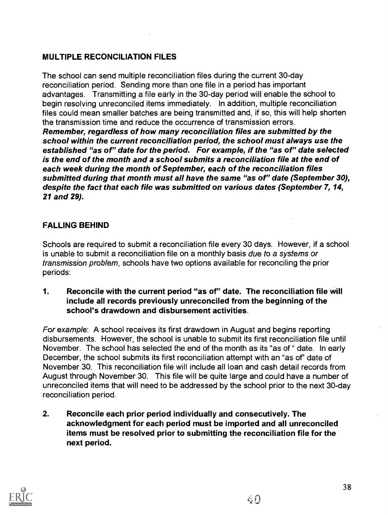### MULTIPLE RECONCILIATION FILES

The school can send multiple reconciliation files during the current 30-day reconciliation period. Sending more than one file in a period has important advantages. Transmitting a file early in the 30-day period will enable the school to begin resolving unreconciled items immediately. In addition, multiple reconciliation files could mean smaller batches are being transmitted and, if so, this will help shorten the transmission time and reduce the occurrence of transmission errors. Remember, regardless of how many reconciliation files are submitted by the school within the current reconciliation period, the school must always use the established "as of" date for the period. For example, if the "as of" date selected is the end of the month and a school submits a reconciliation file at the end of each week during the month of September, each of the reconciliation files submitted during that month must all have the same "as of" date (September 30), despite the fact that each file was submitted on various dates (September 7, 14, 21 and 29).

#### FALLING BEHIND

Schools are required to submit a reconciliation file every 30 days. However, if a school is unable to submit a reconciliation file on a monthly basis due to a systems or transmission problem, schools have two options available for reconciling the prior periods:

1. Reconcile with the current period "as of" date. The reconciliation file will include all records previously unreconciled from the beginning of the school's drawdown and disbursement activities.

For example: A school receives its first drawdown in August and begins reporting disbursements. However, the school is unable to submit its first reconciliation file until November. The school has selected the end of the month as its "as of " date. In early December, the school submits its first reconciliation attempt with an "as of" date of November 30. This reconciliation file will include all loan and cash detail records from August through November 30. This file will be quite large and could have a number of unreconciled items that will need to be addressed by the school prior to the next 30-day reconciliation period.

2. Reconcile each prior period individually and consecutively. The acknowledgment for each period must be imported and all unreconciled items must be resolved prior to submitting the reconciliation file for the next period.



38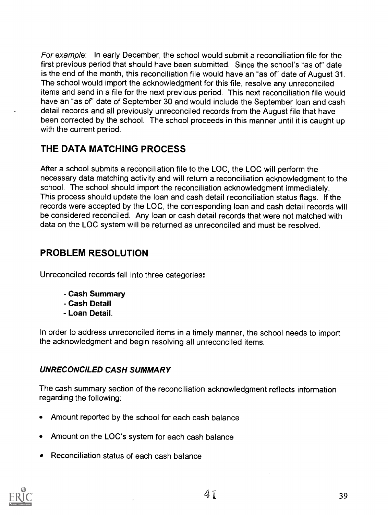For example: In early December, the school would submit a reconciliation file for the first previous period that should have been submitted. Since the school's "as of" date is the end of the month, this reconciliation file would have an "as of" date of August 31. The school would import the acknowledgment for this file, resolve any unreconciled items and send in a file for the next previous period. This next reconciliation file would have an "as of" date of September 30 and would include the September loan and cash detail records and all previously unreconciled records from the August file that have been corrected by the school. The school proceeds in this manner until it is caught up with the current period.

### THE DATA MATCHING PROCESS

After a school submits a reconciliation file to the LOC, the LOC will perform the necessary data matching activity and will return a reconciliation acknowledgment to the school. The school should import the reconciliation acknowledgment immediately. This process should update the loan and cash detail reconciliation status flags. If the records were accepted by the LOC, the corresponding loan and cash detail records will be considered reconciled. Any loan or cash detail records that were not matched with data on the LOC system will be returned as unreconciled and must be resolved.

# PROBLEM RESOLUTION

Unreconciled records fall into three categories:

- Cash Summary
- Cash Detail
- Loan Detail.

In order to address unreconciled items in a timely manner, the school needs to import the acknowledgment and begin resolving all unreconciled items.

### UNRECONCILED CASH SUMMARY

The cash summary section of the reconciliation acknowledgment reflects information regarding the following:

- Amount reported by the school for each cash balance
- Amount on the LOC's system for each cash balance
- Reconciliation status of each cash balance

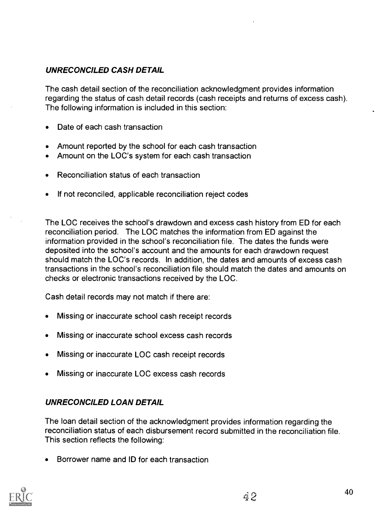### UNRECONCILED CASH DETAIL

The cash detail section of the reconciliation acknowledgment provides information regarding the status of cash detail records (cash receipts and returns of excess cash). The following information is included in this section:

- Date of each cash transaction
- Amount reported by the school for each cash transaction
- Amount on the LOC's system for each cash transaction
- Reconciliation status of each transaction
- If not reconciled, applicable reconciliation reject codes

The LOC receives the school's drawdown and excess cash history from ED for each reconciliation period. The LOC matches the information from ED against the information provided in the school's reconciliation file. The dates the funds were deposited into the school's account and the amounts for each drawdown request should match the LOC's records. In addition, the dates and amounts of excess cash transactions in the school's reconciliation file should match the dates and amounts on checks or electronic transactions received by the LOC.

Cash detail records may not match if there are:

- Missing or inaccurate school cash receipt records
- Missing or inaccurate school excess cash records
- Missing or inaccurate LOC cash receipt records
- Missing or inaccurate LOC excess cash records

### UNRECONCILED LOAN DETAIL

The loan detail section of the acknowledgment provides information regarding the reconciliation status of each disbursement record submitted in the reconciliation file. This section reflects the following:

Borrower name and ID for each transaction

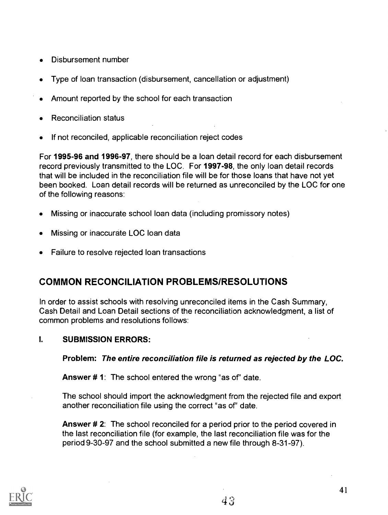- Disbursement number
- Type of loan transaction (disbursement, cancellation or adjustment)
- Amount reported by the school for each transaction
- Reconciliation status
- If not reconciled, applicable reconciliation reject codes

For 1995-96 and 1996-97, there should be a loan detail record for each disbursement record previously transmitted to the LOC. For 1997-98, the only loan detail records that will be included in the reconciliation file will be for those loans that have not yet been booked. Loan detail records will be returned as unreconciled by the LOC for one of the following reasons:

- Missing or inaccurate school loan data (including promissory notes)  $\bullet$
- Missing or inaccurate LOC loan data
- Failure to resolve rejected loan transactions

### COMMON RECONCILIATION PROBLEMS/RESOLUTIONS

In order to assist schools with resolving unreconciled items in the Cash Summary, Cash Detail and Loan Detail sections of the reconciliation acknowledgment, a list of common problems and resolutions follows:

#### I. SUBMISSION ERRORS:

Problem: The entire reconciliation file is returned as rejected by the LOC.

**Answer #1:** The school entered the wrong "as of" date.

The school should import the acknowledgment from the rejected file and export another reconciliation file using the correct "as of" date.

Answer # 2: The school reconciled for a period prior to the period covered in the last reconciliation file (for example, the last reconciliation file was for the period 9-30-97 and the school submitted a new file through 8-31-97).



41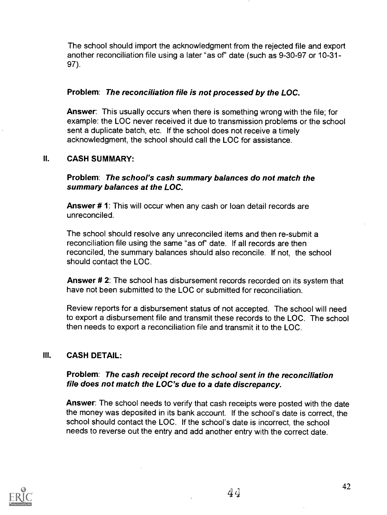The school should import the acknowledgment from the rejected file and export another reconciliation file using a later "as of" date (such as 9-30-97 or 10-31-97).

#### Problem: The reconciliation file is not processed by the LOC.

Answer: This usually occurs when there is something wrong with the file; for example: the LOC never received it due to transmission problems or the school sent a duplicate batch, etc. If the school does not receive a timely acknowledgment, the school should call the LOC for assistance.

#### II. CASH SUMMARY:

Problem: The school's cash summary balances do not match the summary balances at the LOC.

Answer # 1: This will occur when any cash or loan detail records are unreconciled.

The school should resolve any unreconciled items and then re-submit a reconciliation file using the same "as of" date. If all records are then reconciled, the summary balances should also reconcile. If not, the school should contact the LOC.

Answer # 2: The school has disbursement records recorded on its system that have not been submitted to the LOC or submitted for reconciliation.

Review reports for a disbursement status of not accepted. The school will need to export a disbursement file and transmit these records to the LOC. The school then needs to export a reconciliation file and transmit it to the LOC.

#### III. CASH DETAIL:

#### Problem: The cash receipt record the school sent in the reconciliation file does not match the LOC's due to a date discrepancy.

Answer: The school needs to verify that cash receipts were posted with the date the money was deposited in its bank account. If the school's date is correct, the school should contact the LOC. If the school's date is incorrect, the school needs to reverse out the entry and add another entry with the correct date.

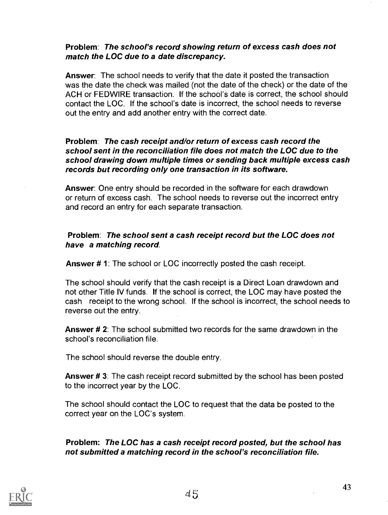#### Problem: The school's record showing return of excess cash does not match the LOC due to a date discrepancy.

Answer: The school needs to verify that the date it posted the transaction was the date the check was mailed (not the date of the check) or the date of the ACH or FEDWIRE transaction. If the school's date is correct, the school should contact the LOC. If the school's date is incorrect, the school needs to reverse out the entry and add another entry with the correct date.

#### Problem: The cash receipt and/or return of excess cash record the school sent in the reconciliation file does not match the LOC due to the school drawing down multiple times or sending back multiple excess cash records but recording only one transaction in its software.

Answer: One entry should be recorded in the software for each drawdown or return of excess cash. The school needs to reverse out the incorrect entry and record an entry for each separate transaction.

#### Problem: The school sent a cash receipt record but the LOC does not have a matching record.

Answer #1: The school or LOC incorrectly posted the cash receipt.

The school should verify that the cash receipt is a Direct Loan drawdown and not other Title IV funds. If the school is correct, the LOC may have posted the cash receipt to the wrong school. If the school is incorrect, the school needs to reverse out the entry.

Answer # 2: The school submitted two records for the same drawdown in the school's reconciliation file.

The school should reverse the double entry.

Answer # 3: The cash receipt record submitted by the school has been posted to the incorrect year by the LOC.

The school should contact the LOC to request that the data be posted to the correct year on the LOC's system.

Problem: The LOC has a cash receipt record posted, but the school has not submitted a matching record in the school's reconciliation file.

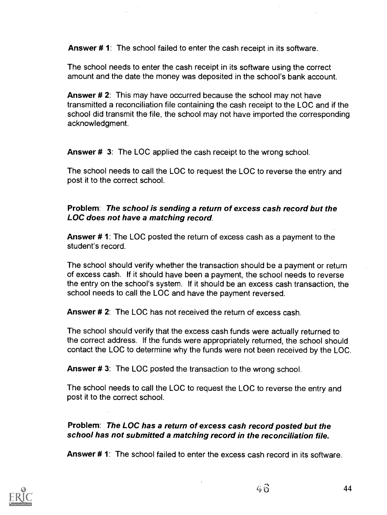Answer # 1: The school failed to enter the cash receipt in its software.

The school needs to enter the cash receipt in its software using the correct amount and the date the money was deposited in the school's bank account.

Answer # 2: This may have occurred because the school may not have transmitted a reconciliation file containing the cash receipt to the LOC and if the school did transmit the file, the school may not have imported the corresponding acknowledgment.

Answer # 3: The LOC applied the cash receipt to the wrong school.

The school needs to call the LOC to request the LOC to reverse the entry and post it to the correct school.

#### Problem: The school is sending a return of excess cash record but the LOC does not have a matching record.

Answer # 1: The LOC posted the return of excess cash as a payment to the student's record.

The school should verify whether the transaction should be a payment or return of excess cash. If it should have been a payment, the school needs to reverse the entry on the school's system. If it should be an excess cash transaction, the school needs to call the LOC and have the payment reversed.

Answer # 2: The LOC has not received the return of excess cash.

The school should verify that the excess cash funds were actually returned to the correct address. If the funds were appropriately returned, the school should contact the LOC to determine why the funds were not been received by the LOC.

Answer #3: The LOC posted the transaction to the wrong school.

The school needs to call the LOC to request the LOC to reverse the entry and post it to the correct school.

#### Problem: The LOC has a return of excess cash record posted but the school has not submitted a matching record in the reconciliation file.

Answer # 1: The school failed to enter the excess cash record in its software.

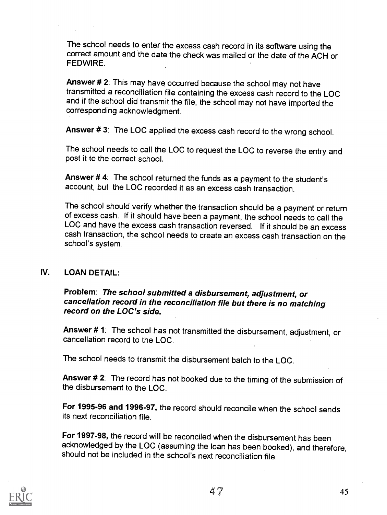The school needs to enter the excess cash record in its software using the correct amount and the date the check was mailed or the date of the ACH or **FFDWIRF** 

Answer # 2: This may have occurred because the school may not have transmitted a reconciliation file containing the excess cash record to the LOC and if the school did transmit the file, the school may not have imported the corresponding acknowledgment.

Answer # 3: The LOC applied the excess cash record to the wrong school.

The school needs to call the LOC to request the LOC to reverse the entry and post it to the correct school.

Answer # 4: The school returned the funds as a payment to the student's account, but the LOC recorded it as an excess cash transaction.

The school should verify whether the transaction should be a payment or return of excess cash. If it should have been a payment, the school needs to, call the LOC and have the excess cash transaction reversed. If it should be an excess cash transaction, the school needs to create an excess cash transaction on the school's system.

#### IV. LOAN DETAIL:

### Problem: The school submitted a disbursement, adjustment, or cancellation record in the reconciliation file but there is no matching record on the LOC's side.

Answer # 1: The school has not transmitted the disbursement, adjustment, or cancellation record to the LOC.

The school needs to transmit the disbursement batch to the LOC.

Answer # 2: The record has not booked due to the timing of the submission of the disbursement to the LOC.

For 1995-96 and 1996-97, the record should reconcile when the school sends its next reconciliation file.

For 1997-98, the record will be reconciled when the disbursement has been acknowledged by the LOC (assuming the loan has been booked), and therefore, should not be included in the school's next reconciliation file.

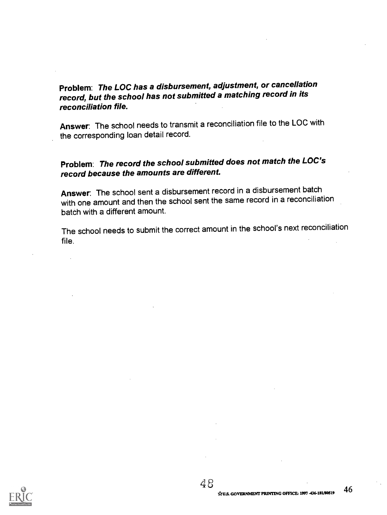### Problem: The LOC has a disbursement, adjustment, or cancellation record, but the school has not submitted a matching record in its reconciliation file.

Answer: The school needs to transmit a reconciliation file to the LOC with the corresponding loan detail record.

### Problem: The record the school submitted does not match the LOC's record because the amounts are different.

Answer: The school sent a disbursement record in a disbursement batch with one amount and then the school sent the same record in a reconciliation batch with a different amount.

The school needs to submit the correct amount in the school's next reconciliation file.